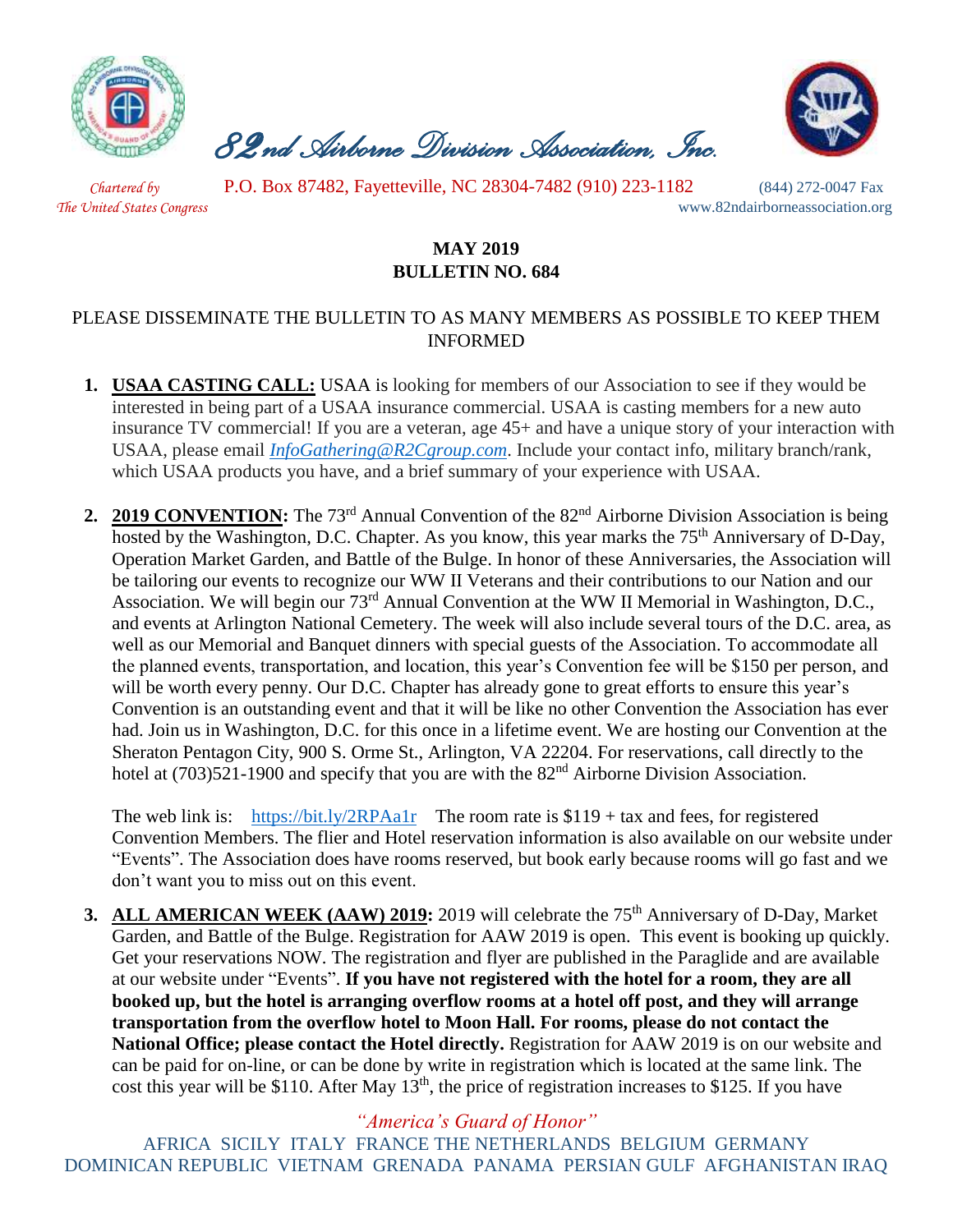

 *82nd Airborne Division Association, Inc.* 



 *Chartered by* P.O. Box 87482, Fayetteville, NC 28304-7482 (910) 223-1182 (844) 272-0047 Fax

*The United States Congress* www.82ndairborneassociation.org

## **MAY 2019 BULLETIN NO. 684**

## PLEASE DISSEMINATE THE BULLETIN TO AS MANY MEMBERS AS POSSIBLE TO KEEP THEM INFORMED

- **1. USAA CASTING CALL:** USAA is looking for members of our Association to see if they would be interested in being part of a USAA insurance commercial. USAA is casting members for a new auto insurance TV commercial! If you are a veteran, age 45+ and have a unique story of your interaction with USAA, please email *[InfoGathering@R2Cgroup.com](mailto:InfoGathering@R2Cgroup.com)*. Include your contact info, military branch/rank, which USAA products you have, and a brief summary of your experience with USAA.
- **2. 2019 CONVENTION:** The 73rd Annual Convention of the 82nd Airborne Division Association is being hosted by the Washington, D.C. Chapter. As you know, this year marks the 75<sup>th</sup> Anniversary of D-Day, Operation Market Garden, and Battle of the Bulge. In honor of these Anniversaries, the Association will be tailoring our events to recognize our WW II Veterans and their contributions to our Nation and our Association. We will begin our 73rd Annual Convention at the WW II Memorial in Washington, D.C., and events at Arlington National Cemetery. The week will also include several tours of the D.C. area, as well as our Memorial and Banquet dinners with special guests of the Association. To accommodate all the planned events, transportation, and location, this year's Convention fee will be \$150 per person, and will be worth every penny. Our D.C. Chapter has already gone to great efforts to ensure this year's Convention is an outstanding event and that it will be like no other Convention the Association has ever had. Join us in Washington, D.C. for this once in a lifetime event. We are hosting our Convention at the Sheraton Pentagon City, 900 S. Orme St., Arlington, VA 22204. For reservations, call directly to the hotel at (703)521-1900 and specify that you are with the 82<sup>nd</sup> Airborne Division Association.

The web link is: <https://bit.ly/2RPAa1r>The room rate is  $$119 + tax$  and fees, for registered Convention Members. The flier and Hotel reservation information is also available on our website under "Events". The Association does have rooms reserved, but book early because rooms will go fast and we don't want you to miss out on this event.

**3. ALL AMERICAN WEEK (AAW) 2019:** 2019 will celebrate the 75<sup>th</sup> Anniversary of D-Day, Market Garden, and Battle of the Bulge. Registration for AAW 2019 is open. This event is booking up quickly. Get your reservations NOW. The registration and flyer are published in the Paraglide and are available at our website under "Events". **If you have not registered with the hotel for a room, they are all booked up, but the hotel is arranging overflow rooms at a hotel off post, and they will arrange transportation from the overflow hotel to Moon Hall. For rooms, please do not contact the National Office; please contact the Hotel directly.** Registration for AAW 2019 is on our website and can be paid for on-line, or can be done by write in registration which is located at the same link. The cost this year will be \$110. After May  $13<sup>th</sup>$ , the price of registration increases to \$125. If you have

*"America's Guard of Honor"*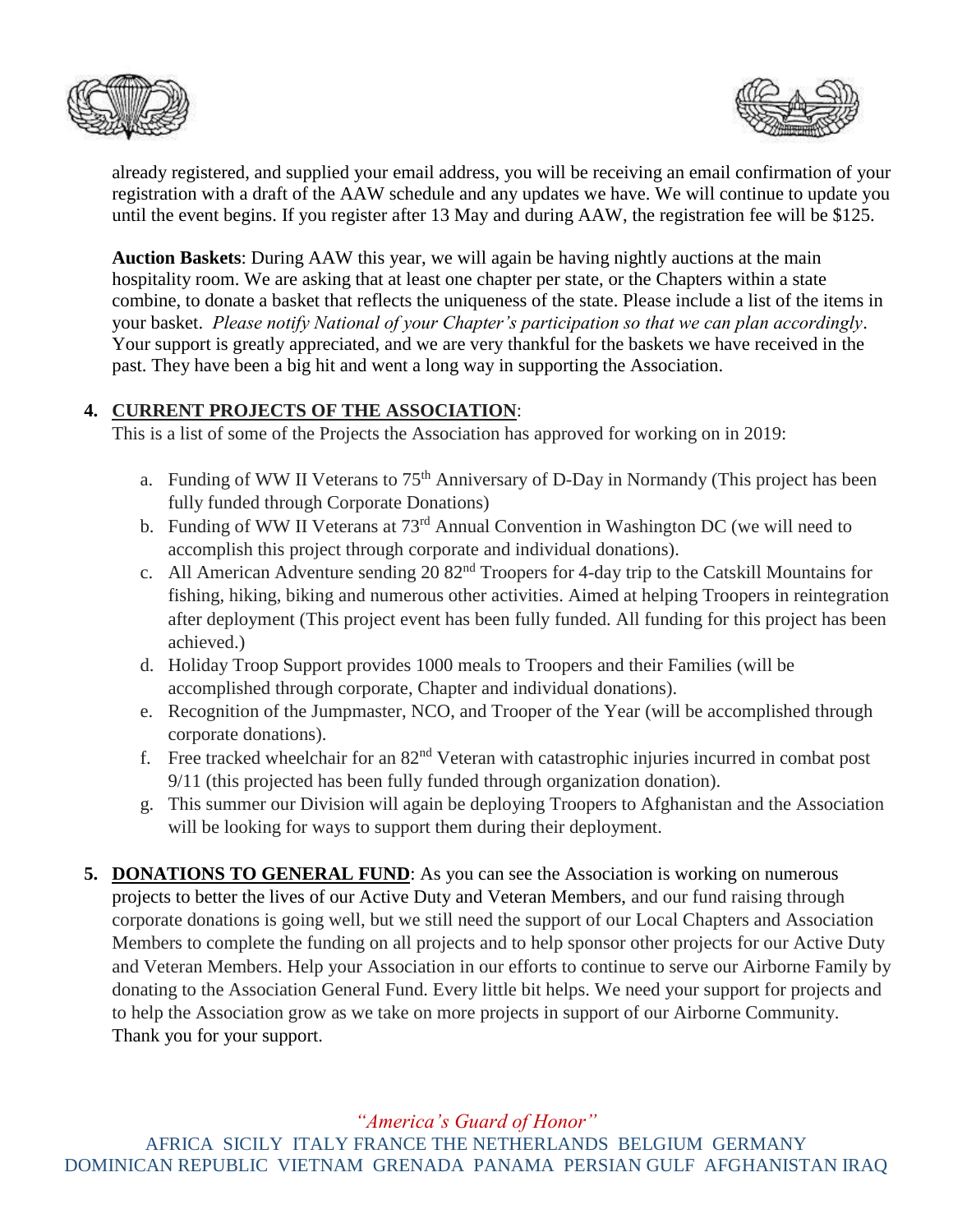



already registered, and supplied your email address, you will be receiving an email confirmation of your registration with a draft of the AAW schedule and any updates we have. We will continue to update you until the event begins. If you register after 13 May and during AAW, the registration fee will be \$125.

**Auction Baskets**: During AAW this year, we will again be having nightly auctions at the main hospitality room. We are asking that at least one chapter per state, or the Chapters within a state combine, to donate a basket that reflects the uniqueness of the state. Please include a list of the items in your basket. *Please notify National of your Chapter's participation so that we can plan accordingly*. Your support is greatly appreciated, and we are very thankful for the baskets we have received in the past. They have been a big hit and went a long way in supporting the Association.

## **4. CURRENT PROJECTS OF THE ASSOCIATION**:

This is a list of some of the Projects the Association has approved for working on in 2019:

- a. Funding of WW II Veterans to 75<sup>th</sup> Anniversary of D-Day in Normandy (This project has been fully funded through Corporate Donations)
- b. Funding of WW II Veterans at 73<sup>rd</sup> Annual Convention in Washington DC (we will need to accomplish this project through corporate and individual donations).
- c. All American Adventure sending 20 82nd Troopers for 4-day trip to the Catskill Mountains for fishing, hiking, biking and numerous other activities. Aimed at helping Troopers in reintegration after deployment (This project event has been fully funded. All funding for this project has been achieved.)
- d. Holiday Troop Support provides 1000 meals to Troopers and their Families (will be accomplished through corporate, Chapter and individual donations).
- e. Recognition of the Jumpmaster, NCO, and Trooper of the Year (will be accomplished through corporate donations).
- f. Free tracked wheelchair for an  $82<sup>nd</sup>$  Veteran with catastrophic injuries incurred in combat post 9/11 (this projected has been fully funded through organization donation).
- g. This summer our Division will again be deploying Troopers to Afghanistan and the Association will be looking for ways to support them during their deployment.
- **5. DONATIONS TO GENERAL FUND**: As you can see the Association is working on numerous projects to better the lives of our Active Duty and Veteran Members, and our fund raising through corporate donations is going well, but we still need the support of our Local Chapters and Association Members to complete the funding on all projects and to help sponsor other projects for our Active Duty and Veteran Members. Help your Association in our efforts to continue to serve our Airborne Family by donating to the Association General Fund. Every little bit helps. We need your support for projects and to help the Association grow as we take on more projects in support of our Airborne Community. Thank you for your support.

*"America's Guard of Honor"*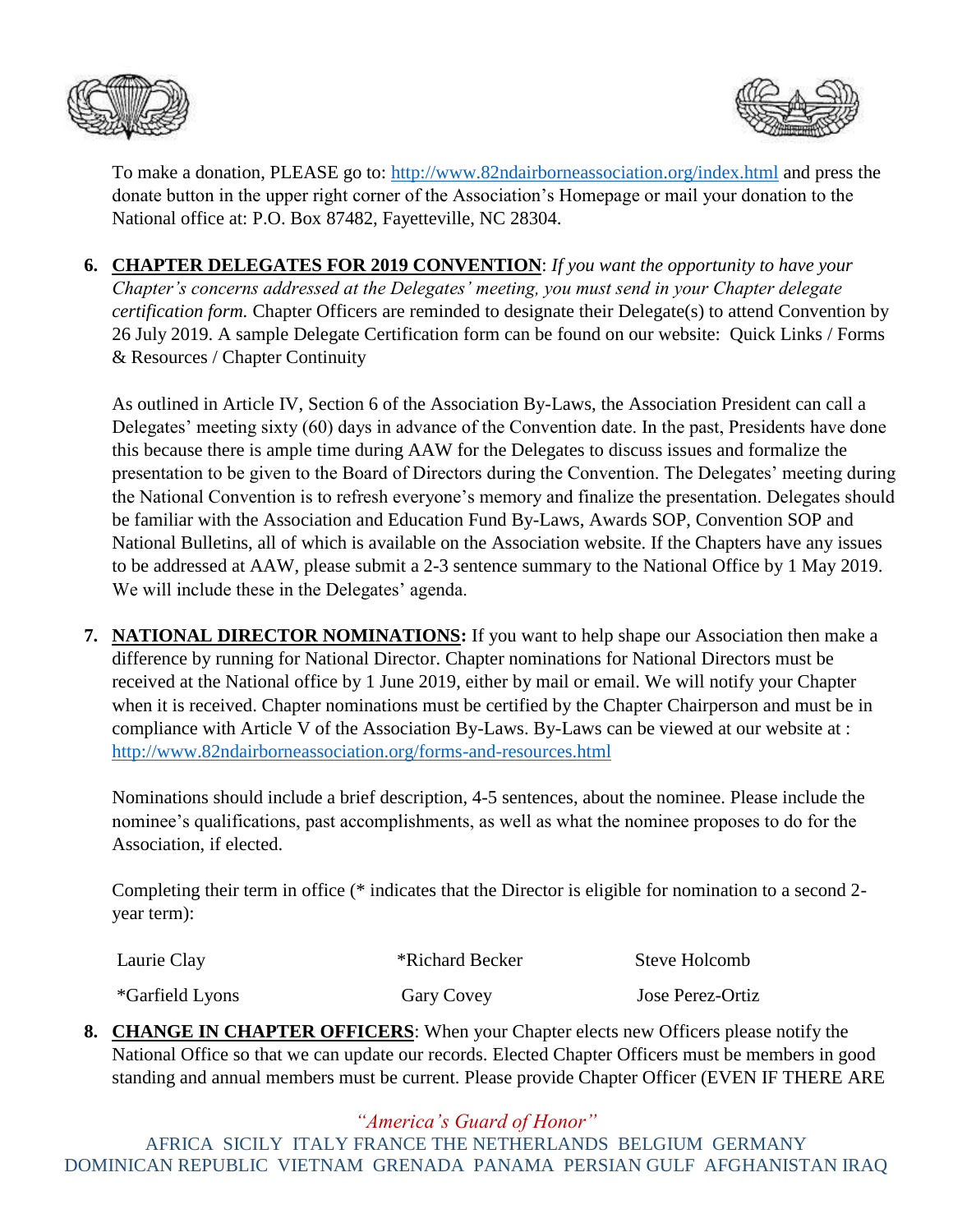



To make a donation, PLEASE go to:<http://www.82ndairborneassociation.org/index.html> and press the donate button in the upper right corner of the Association's Homepage or mail your donation to the National office at: P.O. Box 87482, Fayetteville, NC 28304.

**6. CHAPTER DELEGATES FOR 2019 CONVENTION**: *If you want the opportunity to have your Chapter's concerns addressed at the Delegates' meeting, you must send in your Chapter delegate certification form.* Chapter Officers are reminded to designate their Delegate(s) to attend Convention by 26 July 2019. A sample Delegate Certification form can be found on our website: Quick Links / Forms & Resources / Chapter Continuity

As outlined in Article IV, Section 6 of the Association By-Laws, the Association President can call a Delegates' meeting sixty (60) days in advance of the Convention date. In the past, Presidents have done this because there is ample time during AAW for the Delegates to discuss issues and formalize the presentation to be given to the Board of Directors during the Convention. The Delegates' meeting during the National Convention is to refresh everyone's memory and finalize the presentation. Delegates should be familiar with the Association and Education Fund By-Laws, Awards SOP, Convention SOP and National Bulletins, all of which is available on the Association website. If the Chapters have any issues to be addressed at AAW, please submit a 2-3 sentence summary to the National Office by 1 May 2019. We will include these in the Delegates' agenda.

**7. NATIONAL DIRECTOR NOMINATIONS:** If you want to help shape our Association then make a difference by running for National Director. Chapter nominations for National Directors must be received at the National office by 1 June 2019, either by mail or email. We will notify your Chapter when it is received. Chapter nominations must be certified by the Chapter Chairperson and must be in compliance with Article V of the Association By-Laws. By-Laws can be viewed at our website at : <http://www.82ndairborneassociation.org/forms-and-resources.html>

Nominations should include a brief description, 4-5 sentences, about the nominee. Please include the nominee's qualifications, past accomplishments, as well as what the nominee proposes to do for the Association, if elected.

Completing their term in office (\* indicates that the Director is eligible for nomination to a second 2 year term):

| Laurie Clay     | *Richard Becker | Steve Holcomb    |  |
|-----------------|-----------------|------------------|--|
| *Garfield Lyons | Gary Covey      | Jose Perez-Ortiz |  |

**8. CHANGE IN CHAPTER OFFICERS**: When your Chapter elects new Officers please notify the National Office so that we can update our records. Elected Chapter Officers must be members in good standing and annual members must be current. Please provide Chapter Officer (EVEN IF THERE ARE

*"America's Guard of Honor"*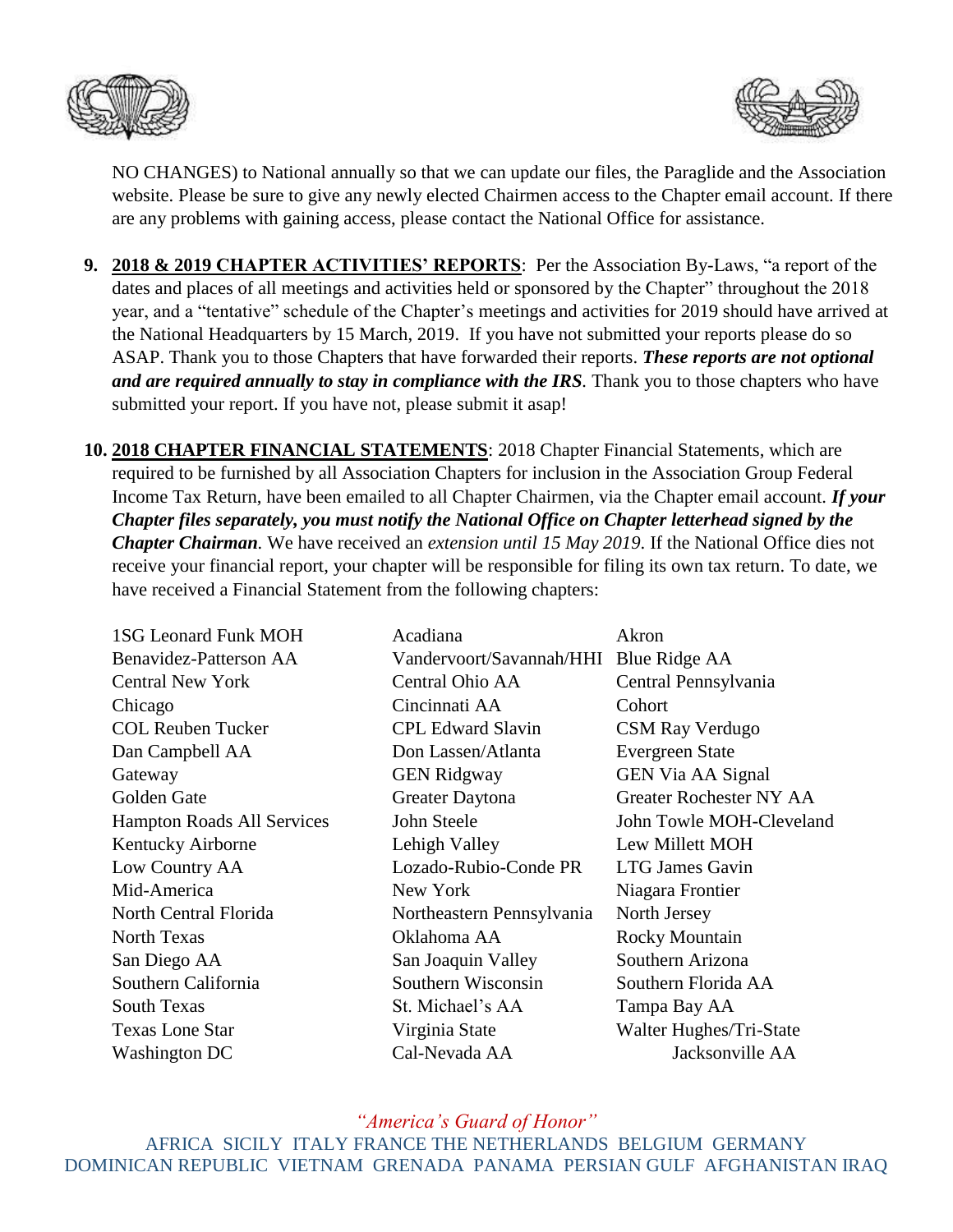



NO CHANGES) to National annually so that we can update our files, the Paraglide and the Association website. Please be sure to give any newly elected Chairmen access to the Chapter email account. If there are any problems with gaining access, please contact the National Office for assistance.

- **9. 2018 & 2019 CHAPTER ACTIVITIES' REPORTS**: Per the Association By-Laws, "a report of the dates and places of all meetings and activities held or sponsored by the Chapter" throughout the 2018 year, and a "tentative" schedule of the Chapter's meetings and activities for 2019 should have arrived at the National Headquarters by 15 March, 2019. If you have not submitted your reports please do so ASAP. Thank you to those Chapters that have forwarded their reports. *These reports are not optional and are required annually to stay in compliance with the IRS.* Thank you to those chapters who have submitted your report. If you have not, please submit it asap!
- **10. 2018 CHAPTER FINANCIAL STATEMENTS**: 2018 Chapter Financial Statements, which are required to be furnished by all Association Chapters for inclusion in the Association Group Federal Income Tax Return, have been emailed to all Chapter Chairmen, via the Chapter email account. *If your Chapter files separately, you must notify the National Office on Chapter letterhead signed by the Chapter Chairman.* We have received an *extension until 15 May 2019*. If the National Office dies not receive your financial report, your chapter will be responsible for filing its own tax return. To date, we have received a Financial Statement from the following chapters:

| <b>1SG Leonard Funk MOH</b>       | Acadiana                  | Akron                          |
|-----------------------------------|---------------------------|--------------------------------|
| Benavidez-Patterson AA            | Vandervoort/Savannah/HHI  | Blue Ridge AA                  |
| <b>Central New York</b>           | Central Ohio AA           | Central Pennsylvania           |
| Chicago                           | Cincinnati AA             | Cohort                         |
| <b>COL Reuben Tucker</b>          | <b>CPL Edward Slavin</b>  | <b>CSM Ray Verdugo</b>         |
| Dan Campbell AA                   | Don Lassen/Atlanta        | <b>Evergreen State</b>         |
| Gateway                           | <b>GEN Ridgway</b>        | <b>GEN Via AA Signal</b>       |
| Golden Gate                       | Greater Daytona           | <b>Greater Rochester NY AA</b> |
| <b>Hampton Roads All Services</b> | John Steele               | John Towle MOH-Cleveland       |
| Kentucky Airborne                 | Lehigh Valley             | Lew Millett MOH                |
| Low Country AA                    | Lozado-Rubio-Conde PR     | <b>LTG James Gavin</b>         |
| Mid-America                       | New York                  | Niagara Frontier               |
| North Central Florida             | Northeastern Pennsylvania | North Jersey                   |
| <b>North Texas</b>                | Oklahoma AA               | <b>Rocky Mountain</b>          |
| San Diego AA                      | San Joaquin Valley        | Southern Arizona               |
| Southern California               | Southern Wisconsin        | Southern Florida AA            |
| <b>South Texas</b>                | St. Michael's AA          | Tampa Bay AA                   |
| <b>Texas Lone Star</b>            | Virginia State            | Walter Hughes/Tri-State        |
| Washington DC                     | Cal-Nevada AA             | Jacksonville AA                |

*"America's Guard of Honor"*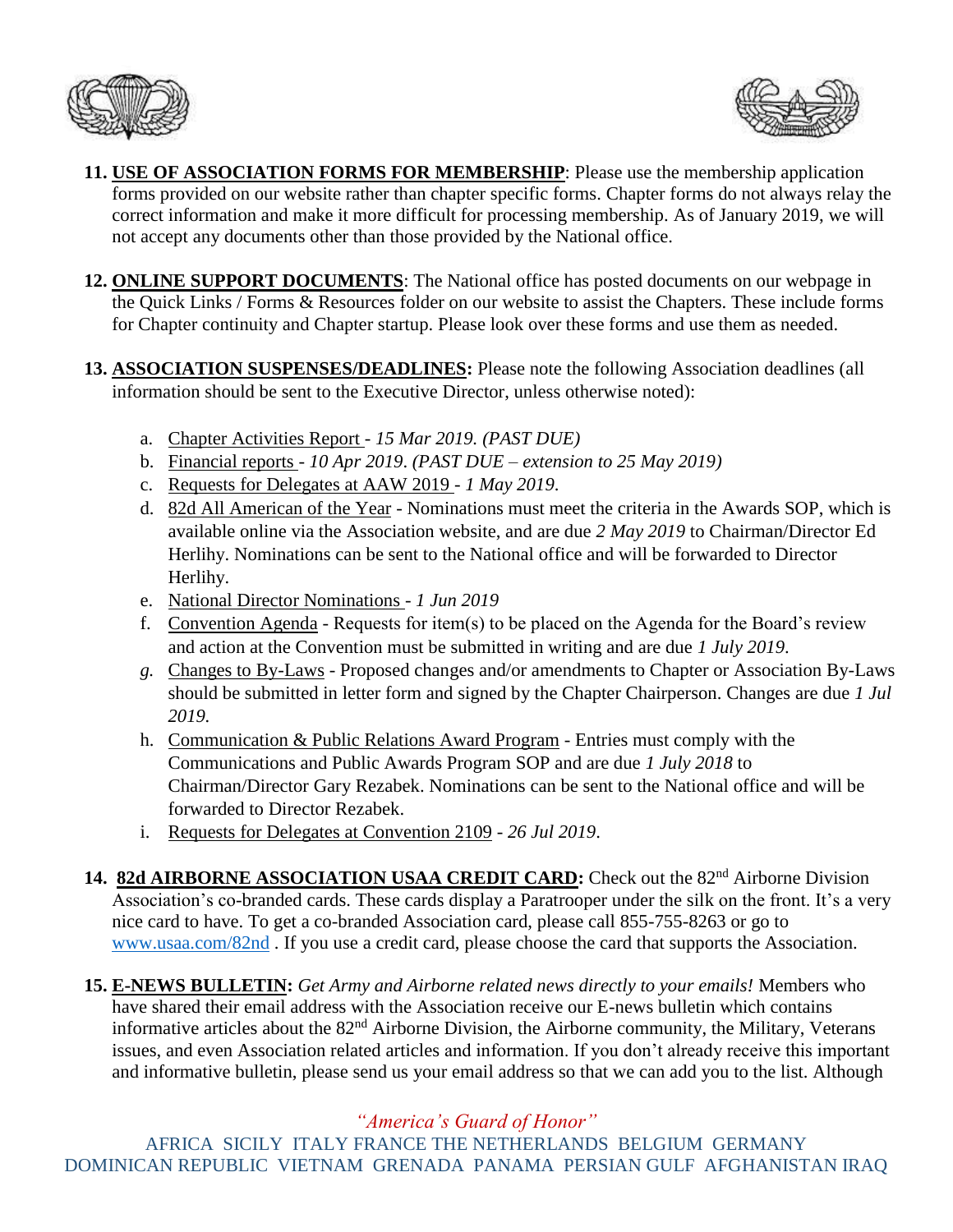



- **11. USE OF ASSOCIATION FORMS FOR MEMBERSHIP**: Please use the membership application forms provided on our website rather than chapter specific forms. Chapter forms do not always relay the correct information and make it more difficult for processing membership. As of January 2019, we will not accept any documents other than those provided by the National office.
- **12. ONLINE SUPPORT DOCUMENTS**: The National office has posted documents on our webpage in the Quick Links / Forms & Resources folder on our website to assist the Chapters. These include forms for Chapter continuity and Chapter startup. Please look over these forms and use them as needed.
- **13. ASSOCIATION SUSPENSES/DEADLINES:** Please note the following Association deadlines (all information should be sent to the Executive Director, unless otherwise noted):
	- a. Chapter Activities Report *15 Mar 2019. (PAST DUE)*
	- b. Financial reports *10 Apr 2019*. *(PAST DUE – extension to 25 May 2019)*
	- c. Requests for Delegates at AAW 2019 *1 May 2019*.
	- d. 82d All American of the Year Nominations must meet the criteria in the Awards SOP, which is available online via the Association website, and are due *2 May 2019* to Chairman/Director Ed Herlihy. Nominations can be sent to the National office and will be forwarded to Director Herlihy.
	- e. National Director Nominations *1 Jun 2019*
	- f. Convention Agenda Requests for item(s) to be placed on the Agenda for the Board's review and action at the Convention must be submitted in writing and are due *1 July 2019*.
	- *g.* Changes to By-Laws Proposed changes and/or amendments to Chapter or Association By-Laws should be submitted in letter form and signed by the Chapter Chairperson. Changes are due *1 Jul 2019.*
	- h. Communication & Public Relations Award Program Entries must comply with the Communications and Public Awards Program SOP and are due *1 July 2018* to Chairman/Director Gary Rezabek. Nominations can be sent to the National office and will be forwarded to Director Rezabek.
	- i. Requests for Delegates at Convention 2109 *26 Jul 2019*.
- 14. 82d AIRBORNE ASSOCIATION USAA CREDIT CARD: Check out the 82<sup>nd</sup> Airborne Division Association's co-branded cards. These cards display a Paratrooper under the silk on the front. It's a very nice card to have. To get a co-branded Association card, please call 855-755-8263 or go to [www.usaa.com/82nd](http://www.usaa.com/82nd) . If you use a credit card, please choose the card that supports the Association.
- **15. E-NEWS BULLETIN:** *Get Army and Airborne related news directly to your emails!* Members who have shared their email address with the Association receive our E-news bulletin which contains informative articles about the 82nd Airborne Division, the Airborne community, the Military, Veterans issues, and even Association related articles and information. If you don't already receive this important and informative bulletin, please send us your email address so that we can add you to the list. Although

*"America's Guard of Honor"*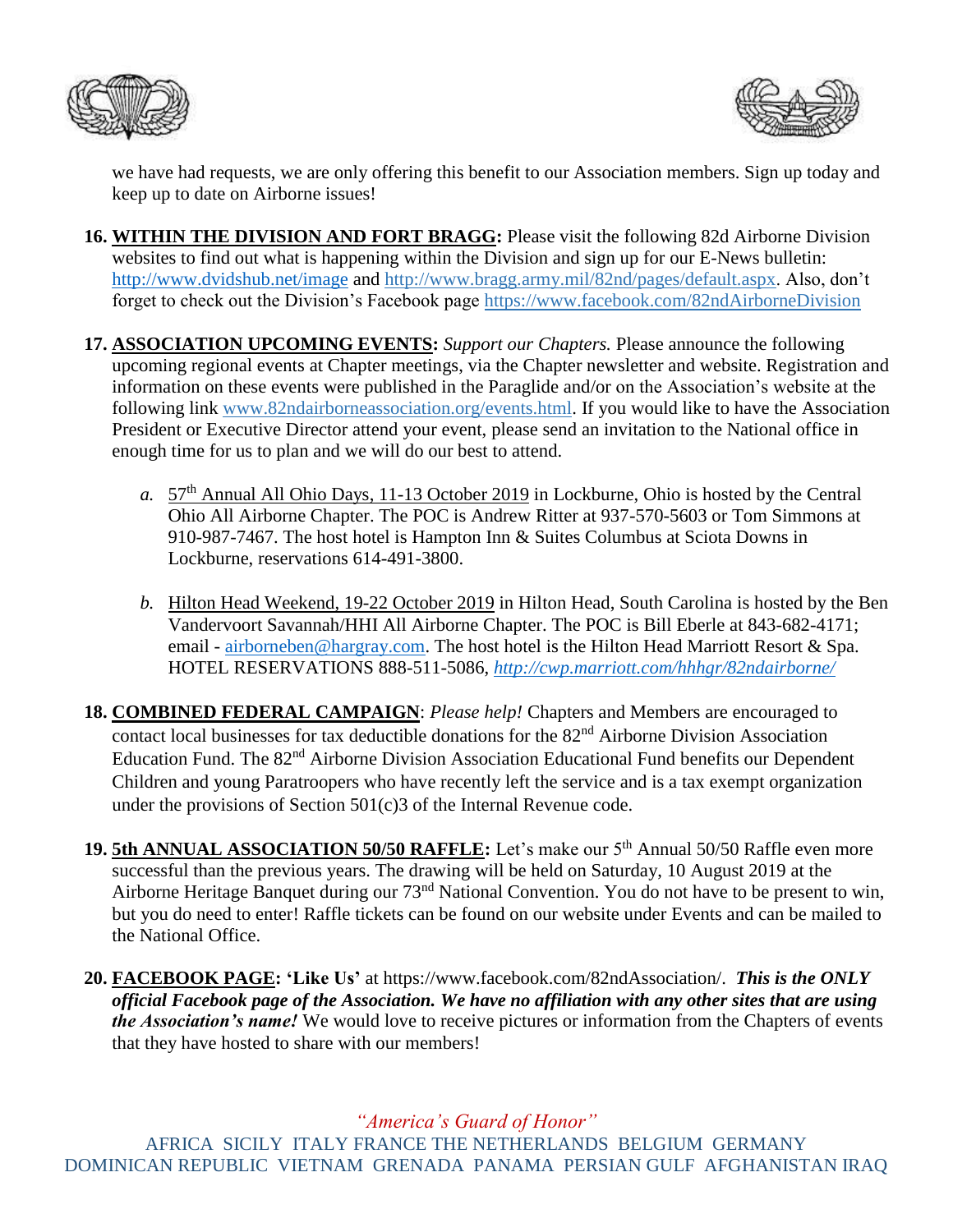



we have had requests, we are only offering this benefit to our Association members. Sign up today and keep up to date on Airborne issues!

- **16. WITHIN THE DIVISION AND FORT BRAGG:** Please visit the following 82d Airborne Division websites to find out what is happening within the Division and sign up for our E-News bulletin: <http://www.dvidshub.net/image> and [http://www.bragg.army.mil/82nd/pages/default.aspx.](http://www.bragg.army.mil/82ND/Pages/default.aspx) Also, don't forget to check out the Division's Facebook page<https://www.facebook.com/82ndAirborneDivision>
- **17. ASSOCIATION UPCOMING EVENTS:** *Support our Chapters.* Please announce the following upcoming regional events at Chapter meetings, via the Chapter newsletter and website. Registration and information on these events were published in the Paraglide and/or on the Association's website at the following link [www.82ndairborneassociation.org/events.html.](http://www.82ndairborneassociation.org/events.html) If you would like to have the Association President or Executive Director attend your event, please send an invitation to the National office in enough time for us to plan and we will do our best to attend.
	- *a.* 57th Annual All Ohio Days, 11-13 October 2019 in Lockburne, Ohio is hosted by the Central Ohio All Airborne Chapter. The POC is Andrew Ritter at 937-570-5603 or Tom Simmons at 910-987-7467. The host hotel is Hampton Inn & Suites Columbus at Sciota Downs in Lockburne, reservations 614-491-3800.
	- *b.* Hilton Head Weekend, 19-22 October 2019 in Hilton Head, South Carolina is hosted by the Ben Vandervoort Savannah/HHI All Airborne Chapter. The POC is Bill Eberle at 843-682-4171; email - [airborneben@hargray.com.](mailto:airborneben@hargray.com) The host hotel is the Hilton Head Marriott Resort & Spa. HOTEL RESERVATIONS 888-511-5086, *<http://cwp.marriott.com/hhhgr/82ndairborne/>*
- **18. COMBINED FEDERAL CAMPAIGN**: *Please help!* Chapters and Members are encouraged to contact local businesses for tax deductible donations for the 82<sup>nd</sup> Airborne Division Association Education Fund. The 82<sup>nd</sup> Airborne Division Association Educational Fund benefits our Dependent Children and young Paratroopers who have recently left the service and is a tax exempt organization under the provisions of Section 501(c)3 of the Internal Revenue code.
- 19. 5th ANNUAL ASSOCIATION 50/50 RAFFLE: Let's make our 5<sup>th</sup> Annual 50/50 Raffle even more successful than the previous years. The drawing will be held on Saturday, 10 August 2019 at the Airborne Heritage Banquet during our 73<sup>nd</sup> National Convention. You do not have to be present to win, but you do need to enter! Raffle tickets can be found on our website under Events and can be mailed to the National Office.
- **20. FACEBOOK PAGE: 'Like Us'** at https://www.facebook.com/82ndAssociation/. *This is the ONLY official Facebook page of the Association. We have no affiliation with any other sites that are using the Association's name!* We would love to receive pictures or information from the Chapters of events that they have hosted to share with our members!

*"America's Guard of Honor"*